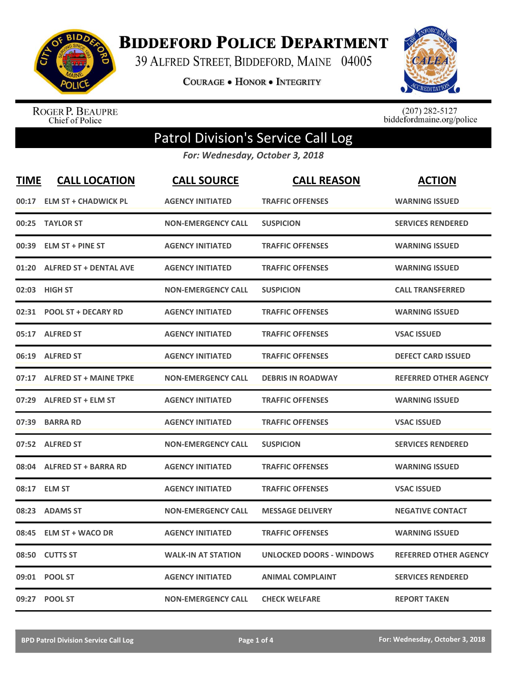

**BIDDEFORD POLICE DEPARTMENT** 

39 ALFRED STREET, BIDDEFORD, MAINE 04005

**COURAGE . HONOR . INTEGRITY** 



ROGER P. BEAUPRE<br>Chief of Police

 $(207)$  282-5127<br>biddefordmaine.org/police

## Patrol Division's Service Call Log

*For: Wednesday, October 3, 2018*

| <b>TIME</b> | <b>CALL LOCATION</b>          | <b>CALL SOURCE</b>        | <b>CALL REASON</b>              | <b>ACTION</b>                |
|-------------|-------------------------------|---------------------------|---------------------------------|------------------------------|
| 00:17       | <b>ELM ST + CHADWICK PL</b>   | <b>AGENCY INITIATED</b>   | <b>TRAFFIC OFFENSES</b>         | <b>WARNING ISSUED</b>        |
| 00:25       | <b>TAYLOR ST</b>              | <b>NON-EMERGENCY CALL</b> | <b>SUSPICION</b>                | <b>SERVICES RENDERED</b>     |
| 00:39       | <b>ELM ST + PINE ST</b>       | <b>AGENCY INITIATED</b>   | <b>TRAFFIC OFFENSES</b>         | <b>WARNING ISSUED</b>        |
| 01:20       | <b>ALFRED ST + DENTAL AVE</b> | <b>AGENCY INITIATED</b>   | <b>TRAFFIC OFFENSES</b>         | <b>WARNING ISSUED</b>        |
|             | 02:03 HIGH ST                 | <b>NON-EMERGENCY CALL</b> | <b>SUSPICION</b>                | <b>CALL TRANSFERRED</b>      |
| 02:31       | <b>POOL ST + DECARY RD</b>    | <b>AGENCY INITIATED</b>   | <b>TRAFFIC OFFENSES</b>         | <b>WARNING ISSUED</b>        |
| 05:17       | <b>ALFRED ST</b>              | <b>AGENCY INITIATED</b>   | <b>TRAFFIC OFFENSES</b>         | <b>VSAC ISSUED</b>           |
| 06:19       | <b>ALFRED ST</b>              | <b>AGENCY INITIATED</b>   | <b>TRAFFIC OFFENSES</b>         | <b>DEFECT CARD ISSUED</b>    |
|             | 07:17 ALFRED ST + MAINE TPKE  | <b>NON-EMERGENCY CALL</b> | <b>DEBRIS IN ROADWAY</b>        | <b>REFERRED OTHER AGENCY</b> |
|             | 07:29 ALFRED ST + ELM ST      | <b>AGENCY INITIATED</b>   | <b>TRAFFIC OFFENSES</b>         | <b>WARNING ISSUED</b>        |
|             | 07:39 BARRA RD                | <b>AGENCY INITIATED</b>   | <b>TRAFFIC OFFENSES</b>         | <b>VSAC ISSUED</b>           |
|             | 07:52 ALFRED ST               | <b>NON-EMERGENCY CALL</b> | <b>SUSPICION</b>                | <b>SERVICES RENDERED</b>     |
| 08:04       | <b>ALFRED ST + BARRA RD</b>   | <b>AGENCY INITIATED</b>   | <b>TRAFFIC OFFENSES</b>         | <b>WARNING ISSUED</b>        |
| 08:17       | <b>ELM ST</b>                 | <b>AGENCY INITIATED</b>   | <b>TRAFFIC OFFENSES</b>         | <b>VSAC ISSUED</b>           |
| 08:23       | <b>ADAMS ST</b>               | <b>NON-EMERGENCY CALL</b> | <b>MESSAGE DELIVERY</b>         | <b>NEGATIVE CONTACT</b>      |
| 08:45       | <b>ELM ST + WACO DR</b>       | <b>AGENCY INITIATED</b>   | <b>TRAFFIC OFFENSES</b>         | <b>WARNING ISSUED</b>        |
| 08:50       | <b>CUTTS ST</b>               | <b>WALK-IN AT STATION</b> | <b>UNLOCKED DOORS - WINDOWS</b> | <b>REFERRED OTHER AGENCY</b> |
| 09:01       | <b>POOL ST</b>                | <b>AGENCY INITIATED</b>   | <b>ANIMAL COMPLAINT</b>         | <b>SERVICES RENDERED</b>     |
|             | 09:27 POOL ST                 | <b>NON-EMERGENCY CALL</b> | <b>CHECK WELFARE</b>            | <b>REPORT TAKEN</b>          |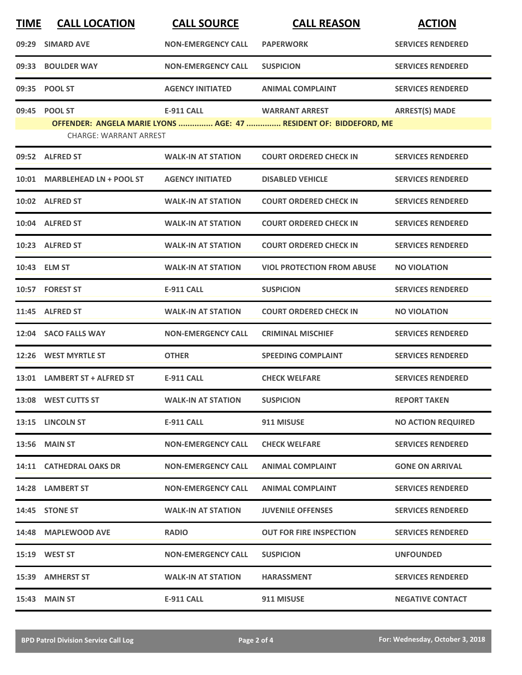| <b>TIME</b> | <b>CALL LOCATION</b>          | <b>CALL SOURCE</b>        | <b>CALL REASON</b>                                                | <b>ACTION</b>             |
|-------------|-------------------------------|---------------------------|-------------------------------------------------------------------|---------------------------|
| 09:29       | <b>SIMARD AVE</b>             | <b>NON-EMERGENCY CALL</b> | <b>PAPERWORK</b>                                                  | <b>SERVICES RENDERED</b>  |
|             | 09:33 BOULDER WAY             | <b>NON-EMERGENCY CALL</b> | <b>SUSPICION</b>                                                  | <b>SERVICES RENDERED</b>  |
|             | 09:35 POOL ST                 | <b>AGENCY INITIATED</b>   | <b>ANIMAL COMPLAINT</b>                                           | <b>SERVICES RENDERED</b>  |
|             | 09:45 POOL ST                 | <b>E-911 CALL</b>         | <b>WARRANT ARREST</b>                                             | <b>ARREST(S) MADE</b>     |
|             | <b>CHARGE: WARRANT ARREST</b> |                           | OFFENDER: ANGELA MARIE LYONS  AGE: 47  RESIDENT OF: BIDDEFORD, ME |                           |
|             | 09:52 ALFRED ST               | <b>WALK-IN AT STATION</b> | <b>COURT ORDERED CHECK IN</b>                                     | <b>SERVICES RENDERED</b>  |
|             | 10:01 MARBLEHEAD LN + POOL ST | <b>AGENCY INITIATED</b>   | <b>DISABLED VEHICLE</b>                                           | <b>SERVICES RENDERED</b>  |
|             | 10:02 ALFRED ST               | <b>WALK-IN AT STATION</b> | <b>COURT ORDERED CHECK IN</b>                                     | <b>SERVICES RENDERED</b>  |
|             | 10:04 ALFRED ST               | <b>WALK-IN AT STATION</b> | <b>COURT ORDERED CHECK IN</b>                                     | <b>SERVICES RENDERED</b>  |
|             | 10:23 ALFRED ST               | <b>WALK-IN AT STATION</b> | <b>COURT ORDERED CHECK IN</b>                                     | <b>SERVICES RENDERED</b>  |
|             | 10:43 ELM ST                  | <b>WALK-IN AT STATION</b> | <b>VIOL PROTECTION FROM ABUSE</b>                                 | <b>NO VIOLATION</b>       |
|             | 10:57 FOREST ST               | <b>E-911 CALL</b>         | <b>SUSPICION</b>                                                  | <b>SERVICES RENDERED</b>  |
|             | 11:45 ALFRED ST               | <b>WALK-IN AT STATION</b> | <b>COURT ORDERED CHECK IN</b>                                     | <b>NO VIOLATION</b>       |
|             | 12:04 SACO FALLS WAY          | <b>NON-EMERGENCY CALL</b> | <b>CRIMINAL MISCHIEF</b>                                          | <b>SERVICES RENDERED</b>  |
|             | 12:26 WEST MYRTLE ST          | <b>OTHER</b>              | <b>SPEEDING COMPLAINT</b>                                         | <b>SERVICES RENDERED</b>  |
|             | 13:01 LAMBERT ST + ALFRED ST  | <b>E-911 CALL</b>         | <b>CHECK WELFARE</b>                                              | <b>SERVICES RENDERED</b>  |
|             | 13:08 WEST CUTTS ST           | <b>WALK-IN AT STATION</b> | <b>SUSPICION</b>                                                  | <b>REPORT TAKEN</b>       |
|             | 13:15 LINCOLN ST              | <b>E-911 CALL</b>         | 911 MISUSE                                                        | <b>NO ACTION REQUIRED</b> |
|             | <b>13:56 MAIN ST</b>          | <b>NON-EMERGENCY CALL</b> | <b>CHECK WELFARE</b>                                              | <b>SERVICES RENDERED</b>  |
|             | 14:11 CATHEDRAL OAKS DR       | <b>NON-EMERGENCY CALL</b> | <b>ANIMAL COMPLAINT</b>                                           | <b>GONE ON ARRIVAL</b>    |
|             | 14:28 LAMBERT ST              | <b>NON-EMERGENCY CALL</b> | <b>ANIMAL COMPLAINT</b>                                           | <b>SERVICES RENDERED</b>  |
|             | 14:45 STONE ST                | <b>WALK-IN AT STATION</b> | <b>JUVENILE OFFENSES</b>                                          | <b>SERVICES RENDERED</b>  |
|             | 14:48 MAPLEWOOD AVE           | <b>RADIO</b>              | <b>OUT FOR FIRE INSPECTION</b>                                    | <b>SERVICES RENDERED</b>  |
|             | 15:19 WEST ST                 | <b>NON-EMERGENCY CALL</b> | <b>SUSPICION</b>                                                  | <b>UNFOUNDED</b>          |
|             | 15:39 AMHERST ST              | <b>WALK-IN AT STATION</b> | <b>HARASSMENT</b>                                                 | <b>SERVICES RENDERED</b>  |
|             | <b>15:43 MAIN ST</b>          | <b>E-911 CALL</b>         | 911 MISUSE                                                        | <b>NEGATIVE CONTACT</b>   |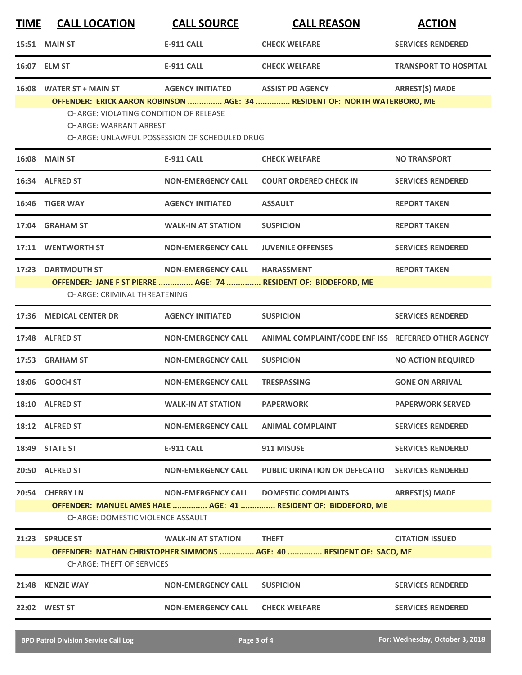| <b>TIME</b> | <b>CALL LOCATION</b>                                                      | <b>CALL SOURCE</b>                                   | <b>CALL REASON</b>                                                                                   | <b>ACTION</b>                |
|-------------|---------------------------------------------------------------------------|------------------------------------------------------|------------------------------------------------------------------------------------------------------|------------------------------|
|             | 15:51 MAIN ST                                                             | <b>E-911 CALL</b>                                    | <b>CHECK WELFARE</b>                                                                                 | <b>SERVICES RENDERED</b>     |
|             | 16:07 ELM ST                                                              | <b>E-911 CALL</b>                                    | <b>CHECK WELFARE</b>                                                                                 | <b>TRANSPORT TO HOSPITAL</b> |
|             | 16:08 WATER ST + MAIN ST<br><b>CHARGE: VIOLATING CONDITION OF RELEASE</b> | <b>AGENCY INITIATED</b>                              | <b>ASSIST PD AGENCY</b><br>OFFENDER: ERICK AARON ROBINSON  AGE: 34  RESIDENT OF: NORTH WATERBORO, ME | <b>ARREST(S) MADE</b>        |
|             | <b>CHARGE: WARRANT ARREST</b>                                             | <b>CHARGE: UNLAWFUL POSSESSION OF SCHEDULED DRUG</b> |                                                                                                      |                              |
|             | <b>16:08 MAIN ST</b>                                                      | <b>E-911 CALL</b>                                    | <b>CHECK WELFARE</b>                                                                                 | <b>NO TRANSPORT</b>          |
| 16:34       | <b>ALFRED ST</b>                                                          | <b>NON-EMERGENCY CALL</b>                            | <b>COURT ORDERED CHECK IN</b>                                                                        | <b>SERVICES RENDERED</b>     |
|             | 16:46 TIGER WAY                                                           | <b>AGENCY INITIATED</b>                              | <b>ASSAULT</b>                                                                                       | <b>REPORT TAKEN</b>          |
|             | 17:04 GRAHAM ST                                                           | <b>WALK-IN AT STATION</b>                            | <b>SUSPICION</b>                                                                                     | <b>REPORT TAKEN</b>          |
| 17:11       | <b>WENTWORTH ST</b>                                                       | <b>NON-EMERGENCY CALL</b>                            | <b>JUVENILE OFFENSES</b>                                                                             | <b>SERVICES RENDERED</b>     |
|             | 17:23 DARTMOUTH ST                                                        | <b>NON-EMERGENCY CALL</b>                            | <b>HARASSMENT</b>                                                                                    | <b>REPORT TAKEN</b>          |
|             | <b>CHARGE: CRIMINAL THREATENING</b>                                       |                                                      | OFFENDER: JANE F ST PIERRE  AGE: 74  RESIDENT OF: BIDDEFORD, ME                                      |                              |
| 17:36       | <b>MEDICAL CENTER DR</b>                                                  | <b>AGENCY INITIATED</b>                              | <b>SUSPICION</b>                                                                                     | <b>SERVICES RENDERED</b>     |
|             | 17:48 ALFRED ST                                                           | <b>NON-EMERGENCY CALL</b>                            | ANIMAL COMPLAINT/CODE ENF ISS REFERRED OTHER AGENCY                                                  |                              |
| 17:53       | <b>GRAHAM ST</b>                                                          | <b>NON-EMERGENCY CALL</b>                            | <b>SUSPICION</b>                                                                                     | <b>NO ACTION REQUIRED</b>    |
| 18:06       | <b>GOOCH ST</b>                                                           | <b>NON-EMERGENCY CALL</b>                            | <b>TRESPASSING</b>                                                                                   | <b>GONE ON ARRIVAL</b>       |
|             | 18:10 ALFRED ST                                                           | <b>WALK-IN AT STATION</b>                            | <b>PAPERWORK</b>                                                                                     | <b>PAPERWORK SERVED</b>      |
|             | 18:12 ALFRED ST                                                           | <b>NON-EMERGENCY CALL</b>                            | <b>ANIMAL COMPLAINT</b>                                                                              | <b>SERVICES RENDERED</b>     |
|             | 18:49 STATE ST                                                            | <b>E-911 CALL</b>                                    | 911 MISUSE                                                                                           | <b>SERVICES RENDERED</b>     |
|             | 20:50 ALFRED ST                                                           | <b>NON-EMERGENCY CALL</b>                            | <b>PUBLIC URINATION OR DEFECATIO</b>                                                                 | <b>SERVICES RENDERED</b>     |
|             | 20:54 CHERRY LN                                                           | <b>NON-EMERGENCY CALL</b>                            | <b>DOMESTIC COMPLAINTS</b>                                                                           | <b>ARREST(S) MADE</b>        |
|             | <b>CHARGE: DOMESTIC VIOLENCE ASSAULT</b>                                  |                                                      | OFFENDER: MANUEL AMES HALE  AGE: 41  RESIDENT OF: BIDDEFORD, ME                                      |                              |
|             | 21:23 SPRUCE ST                                                           | <b>WALK-IN AT STATION</b>                            | <b>THEFT</b>                                                                                         | <b>CITATION ISSUED</b>       |
|             | <b>CHARGE: THEFT OF SERVICES</b>                                          |                                                      | OFFENDER: NATHAN CHRISTOPHER SIMMONS  AGE: 40  RESIDENT OF: SACO, ME                                 |                              |
| 21:48       | <b>KENZIE WAY</b>                                                         | <b>NON-EMERGENCY CALL</b>                            | <b>SUSPICION</b>                                                                                     | <b>SERVICES RENDERED</b>     |
|             | 22:02 WEST ST                                                             | <b>NON-EMERGENCY CALL</b>                            | <b>CHECK WELFARE</b>                                                                                 | <b>SERVICES RENDERED</b>     |